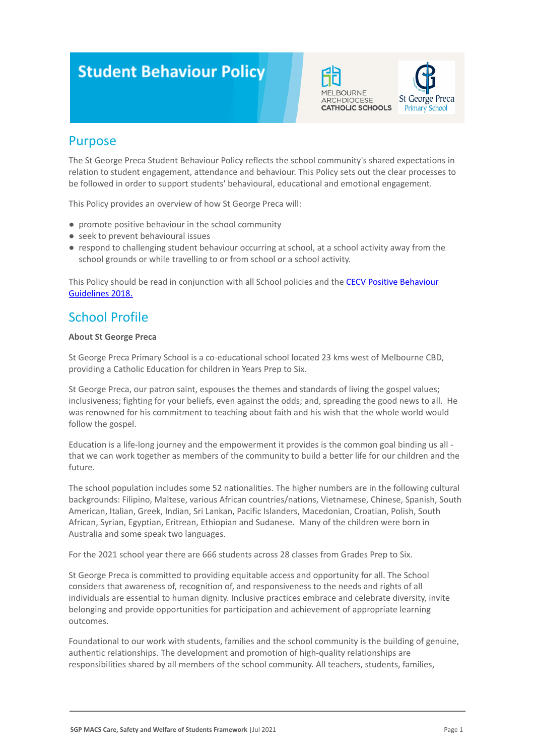# **Student Behaviour Policy**





### Purpose

The St George Preca Student Behaviour Policy reflects the school community's shared expectations in relation to student engagement, attendance and behaviour. This Policy sets out the clear processes to be followed in order to support students' behavioural, educational and emotional engagement.

This Policy provides an overview of how St George Preca will:

- promote positive behaviour in the school community
- seek to prevent behavioural issues
- respond to challenging student behaviour occurring at school, at a school activity away from the school grounds or while travelling to or from school or a school activity.

This Policy should be read in conjunction with all School policies and the [CECV Positive Behaviour](https://www.cecv.catholic.edu.au/getmedia/bc1d235d-9a98-4bb4-b3ac-84b50fa7c639/CECV-Positive-Behaviour-Guidelines_FINAL2.aspx?ext=.pdf) [Guidelines 2018.](https://www.cecv.catholic.edu.au/getmedia/bc1d235d-9a98-4bb4-b3ac-84b50fa7c639/CECV-Positive-Behaviour-Guidelines_FINAL2.aspx?ext=.pdf)

# School Profile

### **About St George Preca**

St George Preca Primary School is a co-educational school located 23 kms west of Melbourne CBD, providing a Catholic Education for children in Years Prep to Six.

St George Preca, our patron saint, espouses the themes and standards of living the gospel values; inclusiveness; fighting for your beliefs, even against the odds; and, spreading the good news to all. He was renowned for his commitment to teaching about faith and his wish that the whole world would follow the gospel.

Education is a life-long journey and the empowerment it provides is the common goal binding us all that we can work together as members of the community to build a better life for our children and the future.

The school population includes some 52 nationalities. The higher numbers are in the following cultural backgrounds: Filipino, Maltese, various African countries/nations, Vietnamese, Chinese, Spanish, South American, Italian, Greek, Indian, Sri Lankan, Pacific Islanders, Macedonian, Croatian, Polish, South African, Syrian, Egyptian, Eritrean, Ethiopian and Sudanese. Many of the children were born in Australia and some speak two languages.

For the 2021 school year there are 666 students across 28 classes from Grades Prep to Six.

St George Preca is committed to providing equitable access and opportunity for all. The School considers that awareness of, recognition of, and responsiveness to the needs and rights of all individuals are essential to human dignity. Inclusive practices embrace and celebrate diversity, invite belonging and provide opportunities for participation and achievement of appropriate learning outcomes.

Foundational to our work with students, families and the school community is the building of genuine, authentic relationships. The development and promotion of high-quality relationships are responsibilities shared by all members of the school community. All teachers, students, families,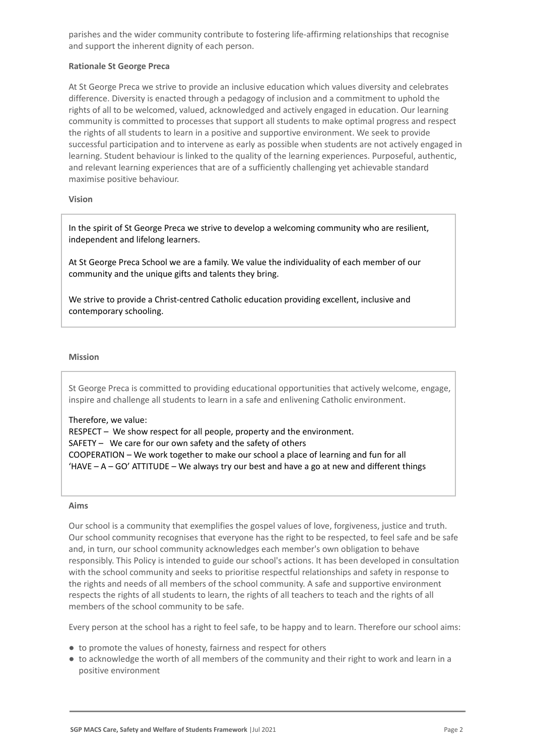parishes and the wider community contribute to fostering life-affirming relationships that recognise and support the inherent dignity of each person.

### **Rationale St George Preca**

At St George Preca we strive to provide an inclusive education which values diversity and celebrates difference. Diversity is enacted through a pedagogy of inclusion and a commitment to uphold the rights of all to be welcomed, valued, acknowledged and actively engaged in education. Our learning community is committed to processes that support all students to make optimal progress and respect the rights of all students to learn in a positive and supportive environment. We seek to provide successful participation and to intervene as early as possible when students are not actively engaged in learning. Student behaviour is linked to the quality of the learning experiences. Purposeful, authentic, and relevant learning experiences that are of a sufficiently challenging yet achievable standard maximise positive behaviour.

### **Vision**

In the spirit of St George Preca we strive to develop a welcoming community who are resilient, independent and lifelong learners.

At St George Preca School we are a family. We value the individuality of each member of our community and the unique gifts and talents they bring.

We strive to provide a Christ-centred Catholic education providing excellent, inclusive and contemporary schooling.

### **Mission**

St George Preca is committed to providing educational opportunities that actively welcome, engage, inspire and challenge all students to learn in a safe and enlivening Catholic environment.

### Therefore, we value:

RESPECT – We show respect for all people, property and the environment. SAFETY – We care for our own safety and the safety of others COOPERATION – We work together to make our school a place of learning and fun for all  $H = A - GO'$  ATTITUDE – We always try our best and have a go at new and different things

#### **Aims**

Our school is a community that exemplifies the gospel values of love, forgiveness, justice and truth. Our school community recognises that everyone has the right to be respected, to feel safe and be safe and, in turn, our school community acknowledges each member's own obligation to behave responsibly. This Policy is intended to guide our school's actions. It has been developed in consultation with the school community and seeks to prioritise respectful relationships and safety in response to the rights and needs of all members of the school community. A safe and supportive environment respects the rights of all students to learn, the rights of all teachers to teach and the rights of all members of the school community to be safe.

Every person at the school has a right to feel safe, to be happy and to learn. Therefore our school aims:

- to promote the values of honesty, fairness and respect for others
- to acknowledge the worth of all members of the community and their right to work and learn in a positive environment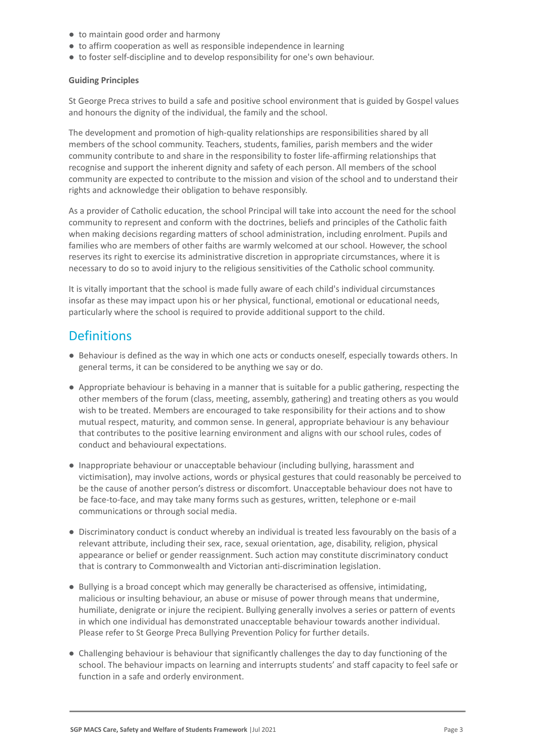- to maintain good order and harmony
- to affirm cooperation as well as responsible independence in learning
- to foster self-discipline and to develop responsibility for one's own behaviour.

### **Guiding Principles**

St George Preca strives to build a safe and positive school environment that is guided by Gospel values and honours the dignity of the individual, the family and the school.

The development and promotion of high-quality relationships are responsibilities shared by all members of the school community. Teachers, students, families, parish members and the wider community contribute to and share in the responsibility to foster life-affirming relationships that recognise and support the inherent dignity and safety of each person. All members of the school community are expected to contribute to the mission and vision of the school and to understand their rights and acknowledge their obligation to behave responsibly.

As a provider of Catholic education, the school Principal will take into account the need for the school community to represent and conform with the doctrines, beliefs and principles of the Catholic faith when making decisions regarding matters of school administration, including enrolment. Pupils and families who are members of other faiths are warmly welcomed at our school. However, the school reserves its right to exercise its administrative discretion in appropriate circumstances, where it is necessary to do so to avoid injury to the religious sensitivities of the Catholic school community.

It is vitally important that the school is made fully aware of each child's individual circumstances insofar as these may impact upon his or her physical, functional, emotional or educational needs, particularly where the school is required to provide additional support to the child.

### **Definitions**

- Behaviour is defined as the way in which one acts or conducts oneself, especially towards others. In general terms, it can be considered to be anything we say or do.
- Appropriate behaviour is behaving in a manner that is suitable for a public gathering, respecting the other members of the forum (class, meeting, assembly, gathering) and treating others as you would wish to be treated. Members are encouraged to take responsibility for their actions and to show mutual respect, maturity, and common sense. In general, appropriate behaviour is any behaviour that contributes to the positive learning environment and aligns with our school rules, codes of conduct and behavioural expectations.
- Inappropriate behaviour or unacceptable behaviour (including bullying, harassment and victimisation), may involve actions, words or physical gestures that could reasonably be perceived to be the cause of another person's distress or discomfort. Unacceptable behaviour does not have to be face-to-face, and may take many forms such as gestures, written, telephone or e-mail communications or through social media.
- Discriminatory conduct is conduct whereby an individual is treated less favourably on the basis of a relevant attribute, including their sex, race, sexual orientation, age, disability, religion, physical appearance or belief or gender reassignment. Such action may constitute discriminatory conduct that is contrary to Commonwealth and Victorian anti-discrimination legislation.
- Bullying is a broad concept which may generally be characterised as offensive, intimidating, malicious or insulting behaviour, an abuse or misuse of power through means that undermine, humiliate, denigrate or injure the recipient. Bullying generally involves a series or pattern of events in which one individual has demonstrated unacceptable behaviour towards another individual. Please refer to St George Preca Bullying Prevention Policy for further details.
- Challenging behaviour is behaviour that significantly challenges the day to day functioning of the school. The behaviour impacts on learning and interrupts students' and staff capacity to feel safe or function in a safe and orderly environment.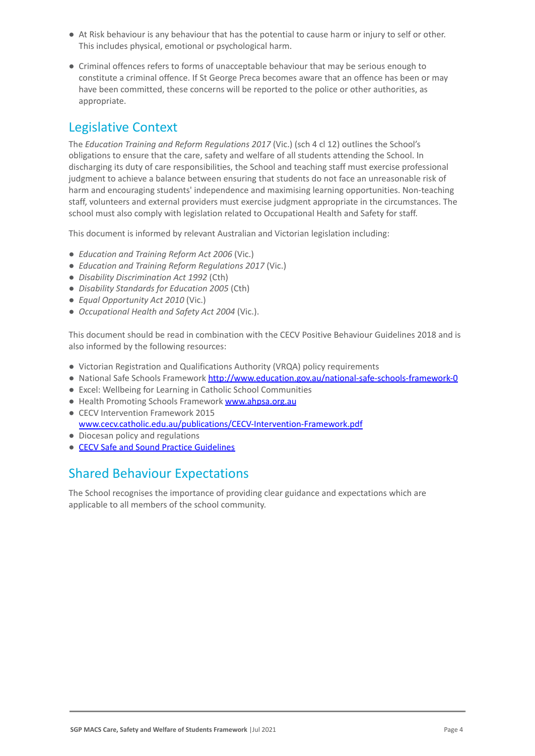- At Risk behaviour is any behaviour that has the potential to cause harm or injury to self or other. This includes physical, emotional or psychological harm.
- Criminal offences refers to forms of unacceptable behaviour that may be serious enough to constitute a criminal offence. If St George Preca becomes aware that an offence has been or may have been committed, these concerns will be reported to the police or other authorities, as appropriate.

### Legislative Context

The *Education Training and Reform Regulations 2017* (Vic.) (sch 4 cl 12) outlines the School's obligations to ensure that the care, safety and welfare of all students attending the School. In discharging its duty of care responsibilities, the School and teaching staff must exercise professional judgment to achieve a balance between ensuring that students do not face an unreasonable risk of harm and encouraging students' independence and maximising learning opportunities. Non-teaching staff, volunteers and external providers must exercise judgment appropriate in the circumstances. The school must also comply with legislation related to Occupational Health and Safety for staff.

This document is informed by relevant Australian and Victorian legislation including:

- *Education and Training Reform Act 2006* (Vic.)
- *Education and Training Reform Regulations 2017* (Vic.)
- *Disability Discrimination Act 1992* (Cth)
- *Disability Standards for Education 2005* (Cth)
- *Equal Opportunity Act 2010* (Vic.)
- *Occupational Health and Safety Act 2004* (Vic.).

This document should be read in combination with the CECV Positive Behaviour Guidelines 2018 and is also informed by the following resources:

- Victorian Registration and Qualifications Authority (VRQA) policy requirements
- National Safe Schools Framework <http://www.education.gov.au/national-safe-schools-framework-0>
- Excel: Wellbeing for Learning in Catholic School Communities
- Health Promoting Schools Framework [www.ahpsa.org.au](http://www.ahpsa.org.au)
- CECV Intervention Framework 2015 [www.cecv.catholic.edu.au/publications/CECV-Intervention-Framework.pdf](http://www.cecv.catholic.edu.au/publications/CECV-Intervention-Framework.pdf)
- Diocesan policy and regulations
- [CECV Safe and Sound Practice Guidelines](https://www.cecv.catholic.edu.au/getmedia/bad5e328-b5f9-4742-a66c-0c7f20ae21ff/Safe-and-Sound-Practice-Guidelines.aspx)

# Shared Behaviour Expectations

The School recognises the importance of providing clear guidance and expectations which are applicable to all members of the school community.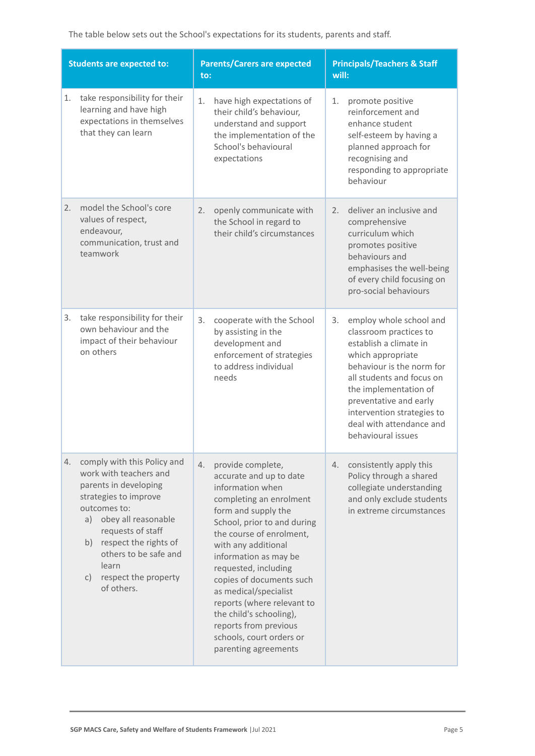The table below sets out the School's expectations for its students, parents and staff.

| <b>Students are expected to:</b> |                                                                                                                                                                                                                                                                                                  | <b>Parents/Carers are expected</b><br>to:                                                                                                                                                                                                                                                                                                                                                                                                              | <b>Principals/Teachers &amp; Staff</b><br>will:                                                                                                                                                                                                                                                     |  |
|----------------------------------|--------------------------------------------------------------------------------------------------------------------------------------------------------------------------------------------------------------------------------------------------------------------------------------------------|--------------------------------------------------------------------------------------------------------------------------------------------------------------------------------------------------------------------------------------------------------------------------------------------------------------------------------------------------------------------------------------------------------------------------------------------------------|-----------------------------------------------------------------------------------------------------------------------------------------------------------------------------------------------------------------------------------------------------------------------------------------------------|--|
| 1.                               | take responsibility for their<br>learning and have high<br>expectations in themselves<br>that they can learn                                                                                                                                                                                     | 1.<br>have high expectations of<br>their child's behaviour,<br>understand and support<br>the implementation of the<br>School's behavioural<br>expectations                                                                                                                                                                                                                                                                                             | 1.<br>promote positive<br>reinforcement and<br>enhance student<br>self-esteem by having a<br>planned approach for<br>recognising and<br>responding to appropriate<br>behaviour                                                                                                                      |  |
| 2.                               | model the School's core<br>values of respect,<br>endeavour,<br>communication, trust and<br>teamwork                                                                                                                                                                                              | 2.<br>openly communicate with<br>the School in regard to<br>their child's circumstances                                                                                                                                                                                                                                                                                                                                                                | deliver an inclusive and<br>2.<br>comprehensive<br>curriculum which<br>promotes positive<br>behaviours and<br>emphasises the well-being<br>of every child focusing on<br>pro-social behaviours                                                                                                      |  |
| 3.                               | take responsibility for their<br>own behaviour and the<br>impact of their behaviour<br>on others                                                                                                                                                                                                 | 3.<br>cooperate with the School<br>by assisting in the<br>development and<br>enforcement of strategies<br>to address individual<br>needs                                                                                                                                                                                                                                                                                                               | employ whole school and<br>3.<br>classroom practices to<br>establish a climate in<br>which appropriate<br>behaviour is the norm for<br>all students and focus on<br>the implementation of<br>preventative and early<br>intervention strategies to<br>deal with attendance and<br>behavioural issues |  |
| 4.                               | comply with this Policy and<br>work with teachers and<br>parents in developing<br>strategies to improve<br>outcomes to:<br>obey all reasonable<br>a)<br>requests of staff<br>respect the rights of<br>b)<br>others to be safe and<br>learn<br>respect the property<br>$\mathsf{C}$<br>of others. | provide complete,<br>4.<br>accurate and up to date<br>information when<br>completing an enrolment<br>form and supply the<br>School, prior to and during<br>the course of enrolment,<br>with any additional<br>information as may be<br>requested, including<br>copies of documents such<br>as medical/specialist<br>reports (where relevant to<br>the child's schooling),<br>reports from previous<br>schools, court orders or<br>parenting agreements | consistently apply this<br>4.<br>Policy through a shared<br>collegiate understanding<br>and only exclude students<br>in extreme circumstances                                                                                                                                                       |  |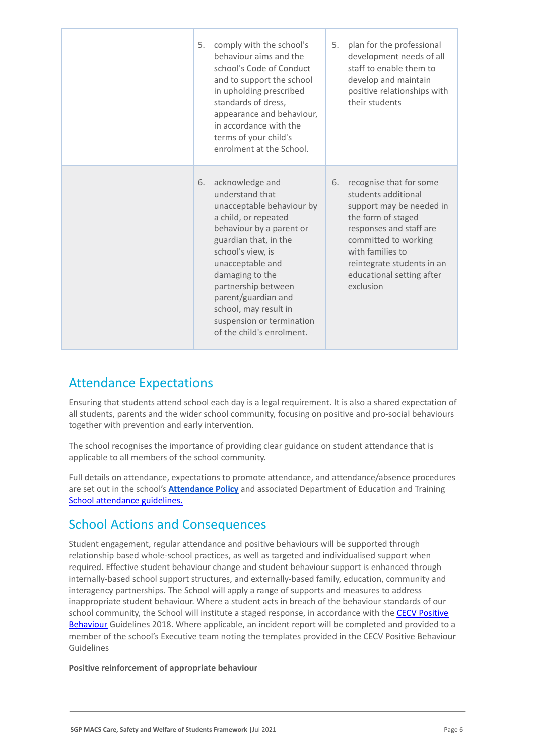| 5. | comply with the school's<br>behaviour aims and the<br>school's Code of Conduct<br>and to support the school<br>in upholding prescribed<br>standards of dress,<br>appearance and behaviour,<br>in accordance with the<br>terms of your child's<br>enrolment at the School.                                                                 | 5. | plan for the professional<br>development needs of all<br>staff to enable them to<br>develop and maintain<br>positive relationships with<br>their students                                                                                       |
|----|-------------------------------------------------------------------------------------------------------------------------------------------------------------------------------------------------------------------------------------------------------------------------------------------------------------------------------------------|----|-------------------------------------------------------------------------------------------------------------------------------------------------------------------------------------------------------------------------------------------------|
| 6. | acknowledge and<br>understand that<br>unacceptable behaviour by<br>a child, or repeated<br>behaviour by a parent or<br>guardian that, in the<br>school's view, is<br>unacceptable and<br>damaging to the<br>partnership between<br>parent/guardian and<br>school, may result in<br>suspension or termination<br>of the child's enrolment. | 6. | recognise that for some<br>students additional<br>support may be needed in<br>the form of staged<br>responses and staff are<br>committed to working<br>with families to<br>reintegrate students in an<br>educational setting after<br>exclusion |

# Attendance Expectations

Ensuring that students attend school each day is a legal requirement. It is also a shared expectation of all students, parents and the wider school community, focusing on positive and pro-social behaviours together with prevention and early intervention.

The school recognises the importance of providing clear guidance on student attendance that is applicable to all members of the school community.

Full details on attendance, expectations to promote attendance, and attendance/absence procedures are set out in the school's **[Attendance Policy](https://docs.google.com/document/d/1DmN31xpg3657a9ldiRSKfJ9RRWAMR3RH5t-umzV9-rU/edit#heading=h.gjdgxs)** and associated Department of Education and Training [School attendance guidelines.](https://www2.education.vic.gov.au/pal/attendance/guidance)

### School Actions and Consequences

Student engagement, regular attendance and positive behaviours will be supported through relationship based whole-school practices, as well as targeted and individualised support when required. Effective student behaviour change and student behaviour support is enhanced through internally-based school support structures, and externally-based family, education, community and interagency partnerships. The School will apply a range of supports and measures to address inappropriate student behaviour. Where a student acts in breach of the behaviour standards of our school community, the School will institute a staged response, in accordance with the **[CECV Positive](https://www.cecv.catholic.edu.au/getmedia/bc1d235d-9a98-4bb4-b3ac-84b50fa7c639/CECV-Positive-Behaviour-Guidelines_FINAL2.aspx?ext=.pdf)** [Behaviour](https://www.cecv.catholic.edu.au/getmedia/bc1d235d-9a98-4bb4-b3ac-84b50fa7c639/CECV-Positive-Behaviour-Guidelines_FINAL2.aspx?ext=.pdf) Guidelines 2018. Where applicable, an incident report will be completed and provided to a member of the school's Executive team noting the templates provided in the CECV Positive Behaviour Guidelines

### **Positive reinforcement of appropriate behaviour**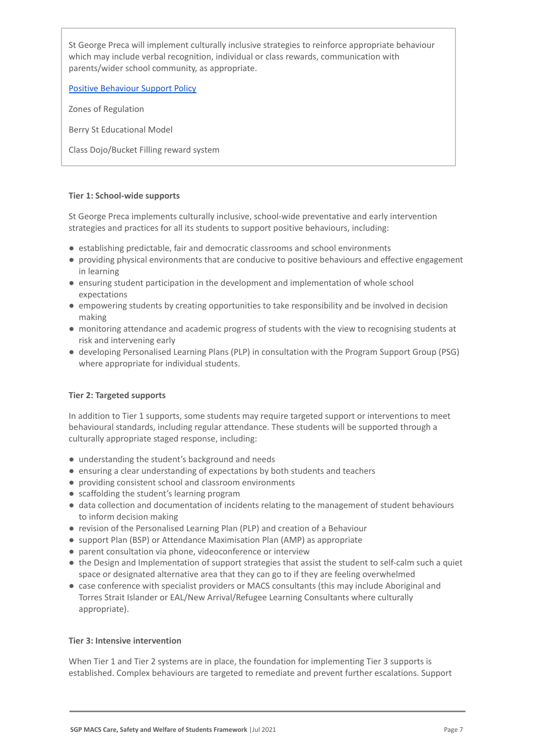St George Preca will implement culturally inclusive strategies to reinforce appropriate behaviour which may include verbal recognition, individual or class rewards, communication with parents/wider school community, as appropriate.

[Positive Behaviour Support Policy](https://docs.google.com/document/d/1HrgkxSvjPk087ZXgD1RkFVek_FgbJofzAglGNUiEtu8/edit?usp=sharing)

Zones of Regulation

Berry St Educational Model

Class Dojo/Bucket Filling reward system

### **Tier 1: School-wide supports**

St George Preca implements culturally inclusive, school-wide preventative and early intervention strategies and practices for all its students to support positive behaviours, including:

- establishing predictable, fair and democratic classrooms and school environments
- providing physical environments that are conducive to positive behaviours and effective engagement in learning
- ensuring student participation in the development and implementation of whole school expectations
- empowering students by creating opportunities to take responsibility and be involved in decision making
- monitoring attendance and academic progress of students with the view to recognising students at risk and intervening early
- developing Personalised Learning Plans (PLP) in consultation with the Program Support Group (PSG) where appropriate for individual students.

### **Tier 2: Targeted supports**

In addition to Tier 1 supports, some students may require targeted support or interventions to meet behavioural standards, including regular attendance. These students will be supported through a culturally appropriate staged response, including:

- understanding the student's background and needs
- ensuring a clear understanding of expectations by both students and teachers
- providing consistent school and classroom environments
- scaffolding the student's learning program
- data collection and documentation of incidents relating to the management of student behaviours to inform decision making
- revision of the Personalised Learning Plan (PLP) and creation of a Behaviour
- support Plan (BSP) or Attendance Maximisation Plan (AMP) as appropriate
- parent consultation via phone, videoconference or interview
- the Design and Implementation of support strategies that assist the student to self-calm such a quiet space or designated alternative area that they can go to if they are feeling overwhelmed
- case conference with specialist providers or MACS consultants (this may include Aboriginal and Torres Strait Islander or EAL/New Arrival/Refugee Learning Consultants where culturally appropriate).

### **Tier 3: Intensive intervention**

When Tier 1 and Tier 2 systems are in place, the foundation for implementing Tier 3 supports is established. Complex behaviours are targeted to remediate and prevent further escalations. Support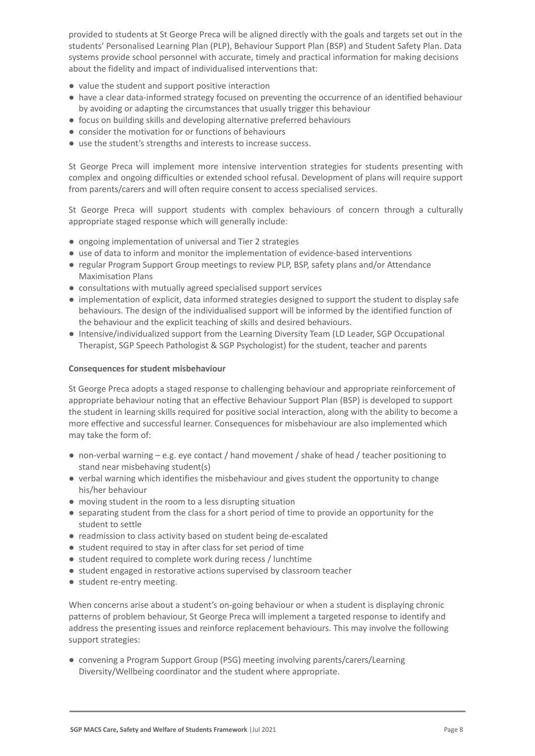provided to students at St George Preca will be aligned directly with the goals and targets set out in the students' Personalised Learning Plan (PLP), Behaviour Support Plan (BSP) and Student Safety Plan. Data systems provide school personnel with accurate, timely and practical information for making decisions about the fidelity and impact of individualised interventions that:

- value the student and support positive interaction
- have a clear data-informed strategy focused on preventing the occurrence of an identified behaviour by avoiding or adapting the circumstances that usually trigger this behaviour
- focus on building skills and developing alternative preferred behaviours
- consider the motivation for or functions of behaviours
- use the student's strengths and interests to increase success.

St George Preca will implement more intensive intervention strategies for students presenting with complex and ongoing difficulties or extended school refusal. Development of plans will require support from parents/carers and will often require consent to access specialised services.

St George Preca will support students with complex behaviours of concern through a culturally appropriate staged response which will generally include:

- ongoing implementation of universal and Tier 2 strategies
- use of data to inform and monitor the implementation of evidence-based interventions
- regular Program Support Group meetings to review PLP, BSP, safety plans and/or Attendance Maximisation Plans
- consultations with mutually agreed specialised support services
- implementation of explicit, data informed strategies designed to support the student to display safe behaviours. The design of the individualised support will be informed by the identified function of the behaviour and the explicit teaching of skills and desired behaviours.
- Intensive/individualized support from the Learning Diversity Team (LD Leader, SGP Occupational Therapist, SGP Speech Pathologist & SGP Psychologist) for the student, teacher and parents

### **Consequences for student misbehaviour**

St George Preca adopts a staged response to challenging behaviour and appropriate reinforcement of appropriate behaviour noting that an effective Behaviour Support Plan (BSP) is developed to support the student in learning skills required for positive social interaction, along with the ability to become a more effective and successful learner. Consequences for misbehaviour are also implemented which may take the form of:

- non-verbal warning e.g. eye contact / hand movement / shake of head / teacher positioning to stand near misbehaving student(s)
- verbal warning which identifies the misbehaviour and gives student the opportunity to change his/her behaviour
- moving student in the room to a less disrupting situation
- separating student from the class for a short period of time to provide an opportunity for the student to settle
- readmission to class activity based on student being de-escalated
- student required to stay in after class for set period of time
- student required to complete work during recess / lunchtime
- student engaged in restorative actions supervised by classroom teacher
- student re-entry meeting.

When concerns arise about a student's on-going behaviour or when a student is displaying chronic patterns of problem behaviour, St George Preca will implement a targeted response to identify and address the presenting issues and reinforce replacement behaviours. This may involve the following support strategies:

● convening a Program Support Group (PSG) meeting involving parents/carers/Learning Diversity/Wellbeing coordinator and the student where appropriate.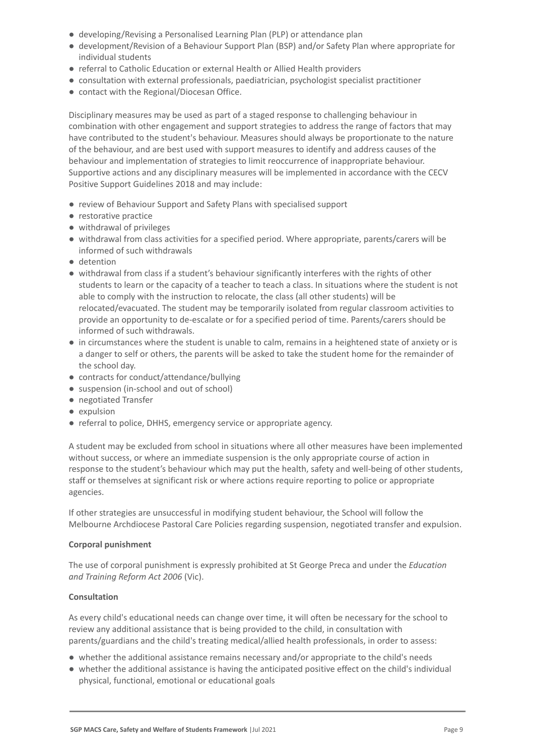- developing/Revising a Personalised Learning Plan (PLP) or attendance plan
- development/Revision of a Behaviour Support Plan (BSP) and/or Safety Plan where appropriate for individual students
- referral to Catholic Education or external Health or Allied Health providers
- consultation with external professionals, paediatrician, psychologist specialist practitioner
- contact with the Regional/Diocesan Office.

Disciplinary measures may be used as part of a staged response to challenging behaviour in combination with other engagement and support strategies to address the range of factors that may have contributed to the student's behaviour. Measures should always be proportionate to the nature of the behaviour, and are best used with support measures to identify and address causes of the behaviour and implementation of strategies to limit reoccurrence of inappropriate behaviour. Supportive actions and any disciplinary measures will be implemented in accordance with the CECV Positive Support Guidelines 2018 and may include:

- review of Behaviour Support and Safety Plans with specialised support
- restorative practice
- withdrawal of privileges
- withdrawal from class activities for a specified period. Where appropriate, parents/carers will be informed of such withdrawals
- detention
- withdrawal from class if a student's behaviour significantly interferes with the rights of other students to learn or the capacity of a teacher to teach a class. In situations where the student is not able to comply with the instruction to relocate, the class (all other students) will be relocated/evacuated. The student may be temporarily isolated from regular classroom activities to provide an opportunity to de-escalate or for a specified period of time. Parents/carers should be informed of such withdrawals.
- in circumstances where the student is unable to calm, remains in a heightened state of anxiety or is a danger to self or others, the parents will be asked to take the student home for the remainder of the school day.
- contracts for conduct/attendance/bullying
- suspension (in-school and out of school)
- negotiated Transfer
- expulsion
- referral to police, DHHS, emergency service or appropriate agency.

A student may be excluded from school in situations where all other measures have been implemented without success, or where an immediate suspension is the only appropriate course of action in response to the student's behaviour which may put the health, safety and well-being of other students, staff or themselves at significant risk or where actions require reporting to police or appropriate agencies.

If other strategies are unsuccessful in modifying student behaviour, the School will follow the Melbourne Archdiocese Pastoral Care Policies regarding suspension, negotiated transfer and expulsion.

### **Corporal punishment**

The use of corporal punishment is expressly prohibited at St George Preca and under the *Education and Training Reform Act 2006* (Vic).

### **Consultation**

As every child's educational needs can change over time, it will often be necessary for the school to review any additional assistance that is being provided to the child, in consultation with parents/guardians and the child's treating medical/allied health professionals, in order to assess:

- whether the additional assistance remains necessary and/or appropriate to the child's needs
- whether the additional assistance is having the anticipated positive effect on the child's individual physical, functional, emotional or educational goals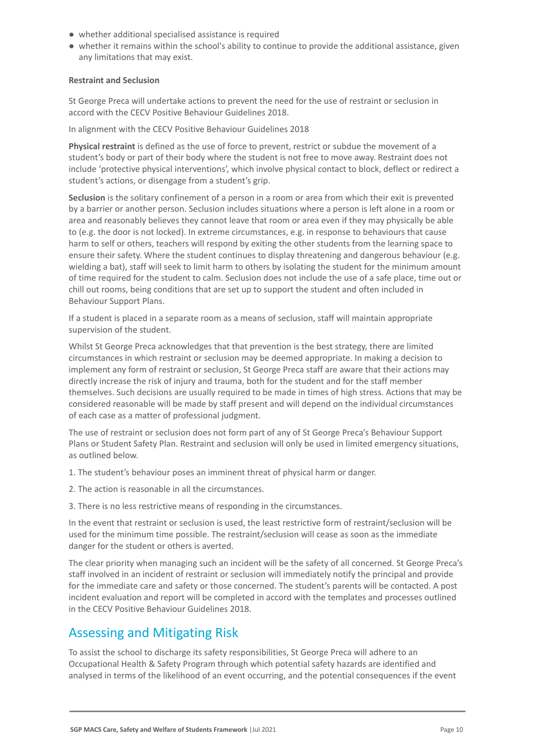- whether additional specialised assistance is required
- whether it remains within the school's ability to continue to provide the additional assistance, given any limitations that may exist.

### **Restraint and Seclusion**

St George Preca will undertake actions to prevent the need for the use of restraint or seclusion in accord with the CECV Positive Behaviour Guidelines 2018.

In alignment with the CECV Positive Behaviour Guidelines 2018

**Physical restraint** is defined as the use of force to prevent, restrict or subdue the movement of a student's body or part of their body where the student is not free to move away. Restraint does not include 'protective physical interventions', which involve physical contact to block, deflect or redirect a student's actions, or disengage from a student's grip.

**Seclusion** is the solitary confinement of a person in a room or area from which their exit is prevented by a barrier or another person. Seclusion includes situations where a person is left alone in a room or area and reasonably believes they cannot leave that room or area even if they may physically be able to (e.g. the door is not locked). In extreme circumstances, e.g. in response to behaviours that cause harm to self or others, teachers will respond by exiting the other students from the learning space to ensure their safety. Where the student continues to display threatening and dangerous behaviour (e.g. wielding a bat), staff will seek to limit harm to others by isolating the student for the minimum amount of time required for the student to calm. Seclusion does not include the use of a safe place, time out or chill out rooms, being conditions that are set up to support the student and often included in Behaviour Support Plans.

If a student is placed in a separate room as a means of seclusion, staff will maintain appropriate supervision of the student.

Whilst St George Preca acknowledges that that prevention is the best strategy, there are limited circumstances in which restraint or seclusion may be deemed appropriate. In making a decision to implement any form of restraint or seclusion, St George Preca staff are aware that their actions may directly increase the risk of injury and trauma, both for the student and for the staff member themselves. Such decisions are usually required to be made in times of high stress. Actions that may be considered reasonable will be made by staff present and will depend on the individual circumstances of each case as a matter of professional judgment.

The use of restraint or seclusion does not form part of any of St George Preca's Behaviour Support Plans or Student Safety Plan. Restraint and seclusion will only be used in limited emergency situations, as outlined below.

1. The student's behaviour poses an imminent threat of physical harm or danger.

2. The action is reasonable in all the circumstances.

3. There is no less restrictive means of responding in the circumstances.

In the event that restraint or seclusion is used, the least restrictive form of restraint/seclusion will be used for the minimum time possible. The restraint/seclusion will cease as soon as the immediate danger for the student or others is averted.

The clear priority when managing such an incident will be the safety of all concerned. St George Preca's staff involved in an incident of restraint or seclusion will immediately notify the principal and provide for the immediate care and safety or those concerned. The student's parents will be contacted. A post incident evaluation and report will be completed in accord with the templates and processes outlined in the CECV Positive Behaviour Guidelines 2018.

# Assessing and Mitigating Risk

To assist the school to discharge its safety responsibilities, St George Preca will adhere to an Occupational Health & Safety Program through which potential safety hazards are identified and analysed in terms of the likelihood of an event occurring, and the potential consequences if the event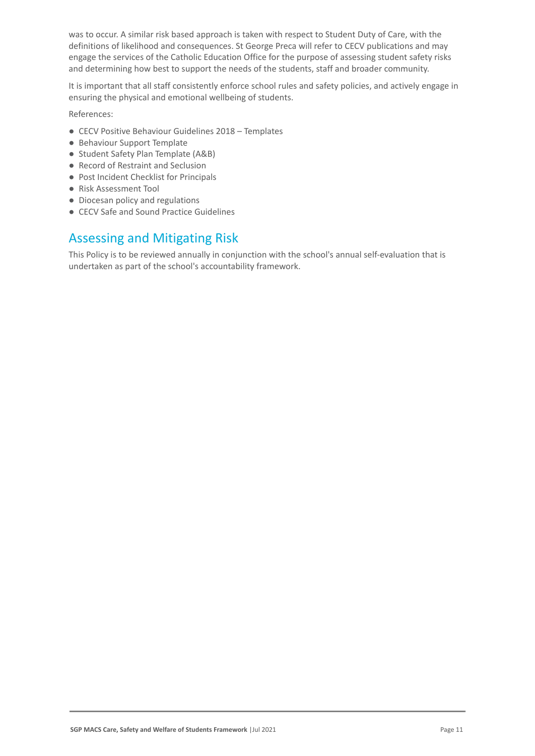was to occur. A similar risk based approach is taken with respect to Student Duty of Care, with the definitions of likelihood and consequences. St George Preca will refer to CECV publications and may engage the services of the Catholic Education Office for the purpose of assessing student safety risks and determining how best to support the needs of the students, staff and broader community.

It is important that all staff consistently enforce school rules and safety policies, and actively engage in ensuring the physical and emotional wellbeing of students.

References:

- CECV Positive Behaviour Guidelines 2018 Templates
- Behaviour Support Template
- Student Safety Plan Template (A&B)
- Record of Restraint and Seclusion
- Post Incident Checklist for Principals
- Risk Assessment Tool
- Diocesan policy and regulations
- CECV Safe and Sound Practice Guidelines

# Assessing and Mitigating Risk

This Policy is to be reviewed annually in conjunction with the school's annual self-evaluation that is undertaken as part of the school's accountability framework.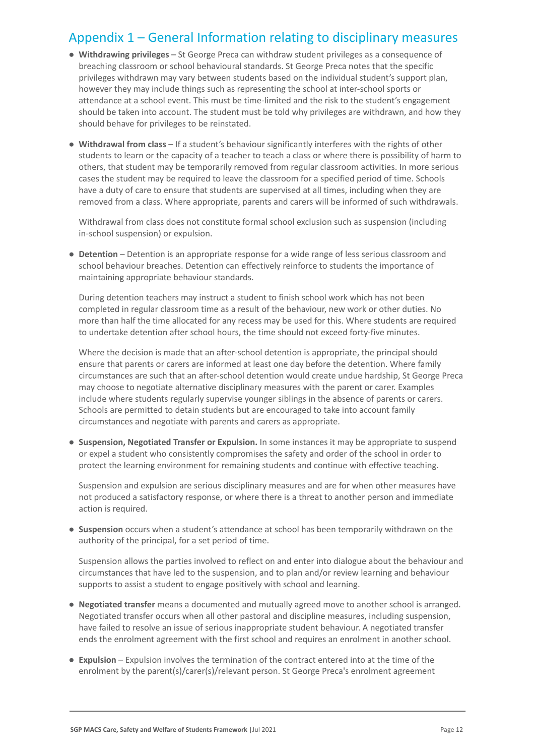# Appendix 1 – General Information relating to disciplinary measures

- **Withdrawing privileges** St George Preca can withdraw student privileges as a consequence of breaching classroom or school behavioural standards. St George Preca notes that the specific privileges withdrawn may vary between students based on the individual student's support plan, however they may include things such as representing the school at inter-school sports or attendance at a school event. This must be time-limited and the risk to the student's engagement should be taken into account. The student must be told why privileges are withdrawn, and how they should behave for privileges to be reinstated.
- **Withdrawal from class** If a student's behaviour significantly interferes with the rights of other students to learn or the capacity of a teacher to teach a class or where there is possibility of harm to others, that student may be temporarily removed from regular classroom activities. In more serious cases the student may be required to leave the classroom for a specified period of time. Schools have a duty of care to ensure that students are supervised at all times, including when they are removed from a class. Where appropriate, parents and carers will be informed of such withdrawals.

Withdrawal from class does not constitute formal school exclusion such as suspension (including in-school suspension) or expulsion.

● **Detention** – Detention is an appropriate response for a wide range of less serious classroom and school behaviour breaches. Detention can effectively reinforce to students the importance of maintaining appropriate behaviour standards.

During detention teachers may instruct a student to finish school work which has not been completed in regular classroom time as a result of the behaviour, new work or other duties. No more than half the time allocated for any recess may be used for this. Where students are required to undertake detention after school hours, the time should not exceed forty-five minutes.

Where the decision is made that an after-school detention is appropriate, the principal should ensure that parents or carers are informed at least one day before the detention. Where family circumstances are such that an after-school detention would create undue hardship, St George Preca may choose to negotiate alternative disciplinary measures with the parent or carer. Examples include where students regularly supervise younger siblings in the absence of parents or carers. Schools are permitted to detain students but are encouraged to take into account family circumstances and negotiate with parents and carers as appropriate.

● **Suspension, Negotiated Transfer or Expulsion.** In some instances it may be appropriate to suspend or expel a student who consistently compromises the safety and order of the school in order to protect the learning environment for remaining students and continue with effective teaching.

Suspension and expulsion are serious disciplinary measures and are for when other measures have not produced a satisfactory response, or where there is a threat to another person and immediate action is required.

● **Suspension** occurs when a student's attendance at school has been temporarily withdrawn on the authority of the principal, for a set period of time.

Suspension allows the parties involved to reflect on and enter into dialogue about the behaviour and circumstances that have led to the suspension, and to plan and/or review learning and behaviour supports to assist a student to engage positively with school and learning.

- **Negotiated transfer** means a documented and mutually agreed move to another school is arranged. Negotiated transfer occurs when all other pastoral and discipline measures, including suspension, have failed to resolve an issue of serious inappropriate student behaviour. A negotiated transfer ends the enrolment agreement with the first school and requires an enrolment in another school.
- **Expulsion** Expulsion involves the termination of the contract entered into at the time of the enrolment by the parent(s)/carer(s)/relevant person. St George Preca's enrolment agreement